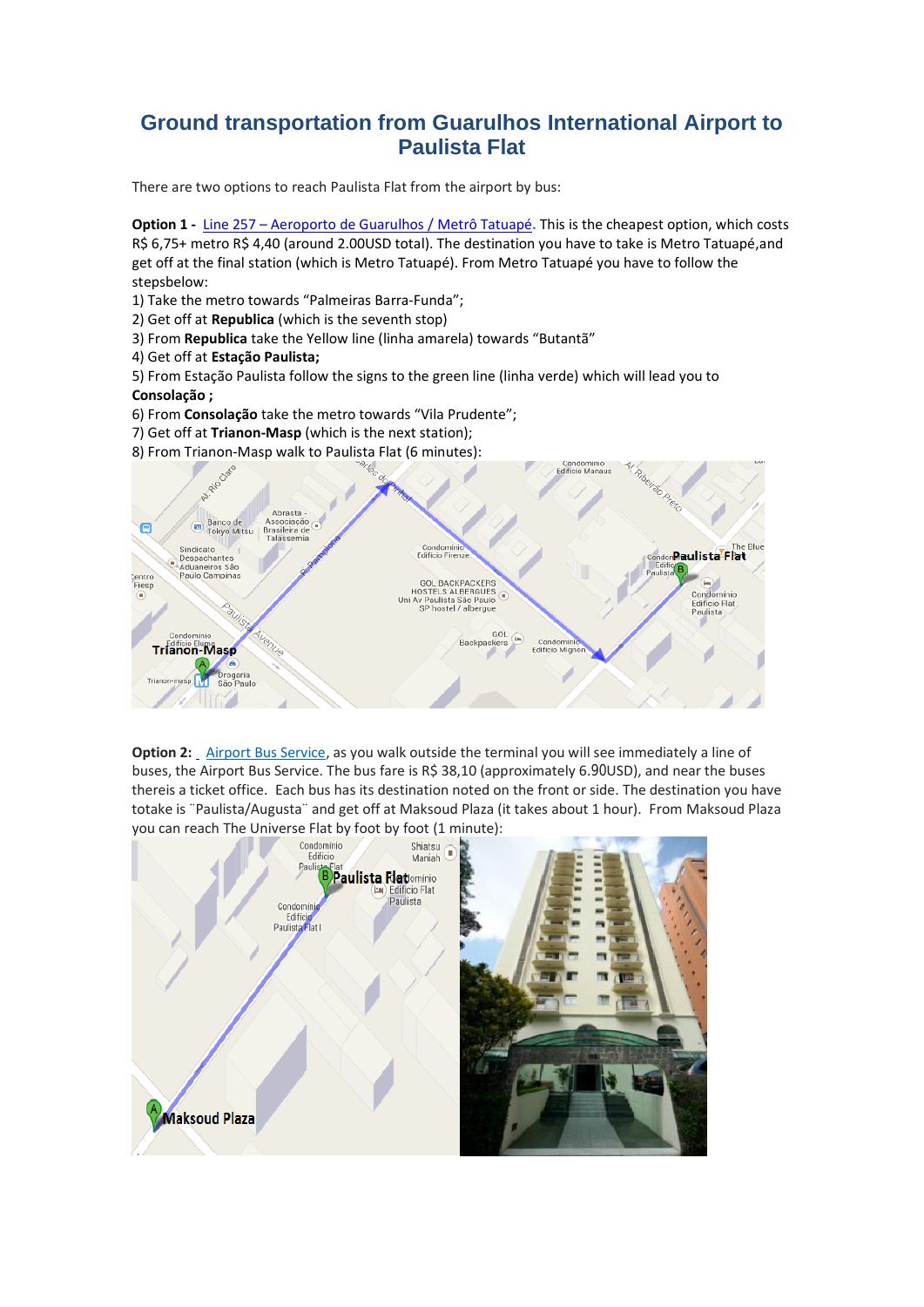## **Ground transportation from Guarulhos International Airport to Paulista Flat**

There are two options to reach Paulista Flat from the airport by bus:

**Option 1 -** Line 257 – [Aeroporto](http://www.viajenaviagem.com/2011/01/a-boia-em-ponte-aerea-para-duros/) de Guarulhos / Metrô Tatuapé**.** This is the cheapest option, which costs R\$ 6,75+ metro R\$ 4,40 (around 2.00USD total). The destination you have to take is Metro Tatuapé,and get off at the final station (which is Metro Tatuapé). From Metro Tatuapé you have to follow the stepsbelow:

1) Take the metro towards "Palmeiras Barra-Funda";

- 2) Get off at **Republica** (which is the seventh stop)
- 3) From **Republica** take the Yellow line (linha amarela) towards "Butantã"
- 4) Get off at **Estação Paulista;**

5) From Estação Paulista follow the signs to the green line (linha verde) which will lead you to **Consolação ;**

- 6) From **Consolação** take the metro towards "Vila Prudente";
- 7) Get off at **Trianon-Masp** (which is the next station);
- 8) From Trianon-Masp walk to Paulista Flat (6 minutes):



 totake is ¨Paulista/Augusta¨ and get off at Maksoud Plaza (it takes about 1 hour). From Maksoud Plaza **Option 2:** [Airport Bus Service,](http://www.airportbusservice.com.br/) as you walk outside the terminal you will see immediately a line of buses, the Airport Bus Service. The bus fare is R\$ 38,10 (approximately 6.90USD), and near the buses thereis a ticket office. Each bus has its destination noted on the front or side. The destination you have